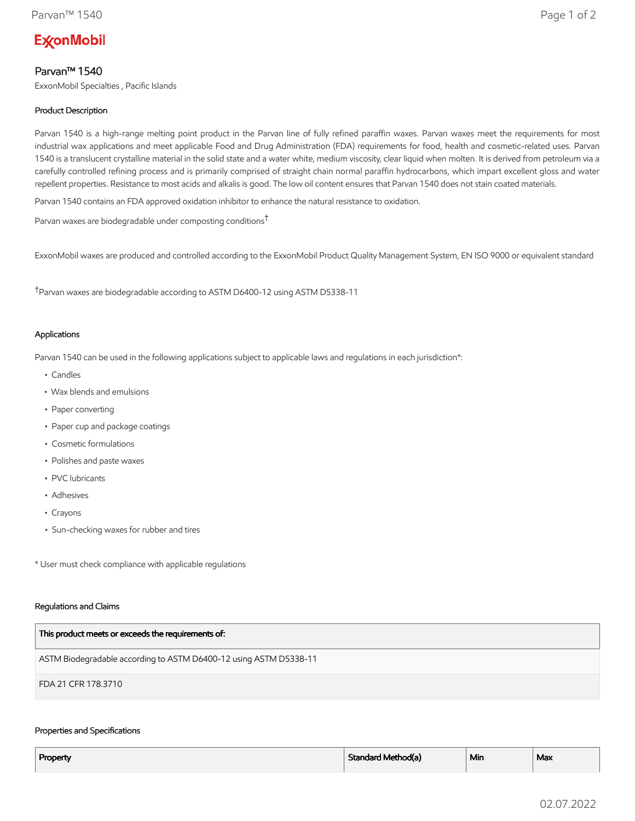# **ExconMobil**

## Parvan™ 1540

ExxonMobil Specialties , Pacific Islands

### Product Description

Parvan 1540 is a high-range melting point product in the Parvan line of fully refined paraffin waxes. Parvan waxes meet the requirements for most industrial wax applications and meet applicable Food and Drug Administration (FDA) requirements for food, health and cosmetic-related uses. Parvan 1540 is a translucent crystalline material in the solid state and a water white, medium viscosity, clear liquid when molten. It is derived from petroleum via a carefully controlled refining process and is primarily comprised of straight chain normal paraffin hydrocarbons, which impart excellent gloss and water repellent properties. Resistance to most acids and alkalis is good. The low oil content ensures that Parvan 1540 does not stain coated materials.

Parvan 1540 contains an FDA approved oxidation inhibitor to enhance the natural resistance to oxidation.

Parvan waxes are biodegradable under composting conditions†

ExxonMobil waxes are produced and controlled according to the ExxonMobil Product Quality Management System, EN ISO 9000 or equivalent standard

†Parvan waxes are biodegradable according to ASTM D6400-12 using ASTM D5338-11

#### Applications

Parvan 1540 can be used in the following applications subject to applicable laws and regulations in each jurisdiction\*:

- Candles
- Wax blends and emulsions
- Paper converting
- Paper cup and package coatings
- Cosmetic formulations
- Polishes and paste waxes
- PVC lubricants
- Adhesives
- Crayons
- Sun-checking waxes for rubber and tires

\* User must check compliance with applicable regulations

#### Regulations and Claims

| This product meets or exceeds the requirements of:                |
|-------------------------------------------------------------------|
| ASTM Biodegradable according to ASTM D6400-12 using ASTM D5338-11 |
| FDA 21 CFR 178.3710                                               |

#### Properties and Specifications

| Property | Standard Method(a) | ' Min | Max |
|----------|--------------------|-------|-----|
|          |                    |       |     |